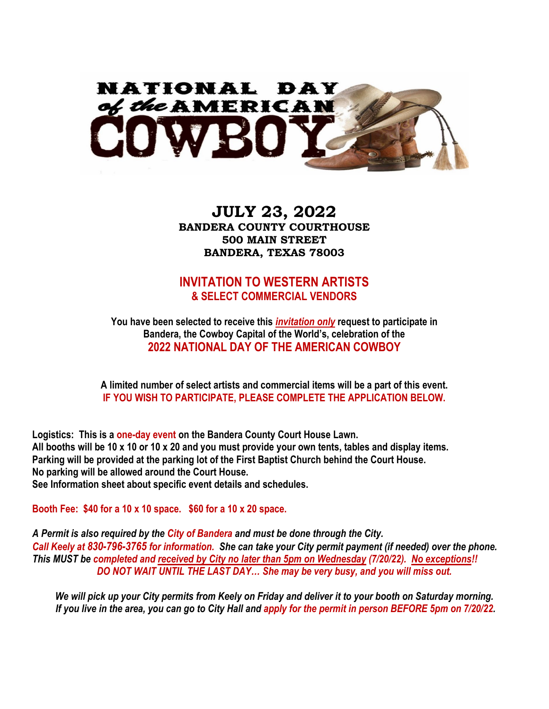

# **JULY 23, 2022 BANDERA COUNTY COURTHOUSE 500 MAIN STREET BANDERA, TEXAS 78003**

### **INVITATION TO WESTERN ARTISTS & SELECT COMMERCIAL VENDORS**

**You have been selected to receive this** *invitation only* **request to participate in Bandera, the Cowboy Capital of the World's, celebration of the 2022 NATIONAL DAY OF THE AMERICAN COWBOY**

**A limited number of select artists and commercial items will be a part of this event. IF YOU WISH TO PARTICIPATE, PLEASE COMPLETE THE APPLICATION BELOW.** 

**Logistics: This is a one-day event on the Bandera County Court House Lawn. All booths will be 10 x 10 or 10 x 20 and you must provide your own tents, tables and display items. Parking will be provided at the parking lot of the First Baptist Church behind the Court House. No parking will be allowed around the Court House. See Information sheet about specific event details and schedules.** 

**Booth Fee: \$40 for a 10 x 10 space. \$60 for a 10 x 20 space.**

*A Permit is also required by the City of Bandera and must be done through the City. Call Keely at 830-796-3765 for information. She can take your City permit payment (if needed) over the phone. This MUST be completed and received by City no later than 5pm on Wednesday (7/20/22). No exceptions!! DO NOT WAIT UNTIL THE LAST DAY… She may be very busy, and you will miss out.*

*We will pick up your City permits from Keely on Friday and deliver it to your booth on Saturday morning. If you live in the area, you can go to City Hall and apply for the permit in person BEFORE 5pm on 7/20/22.*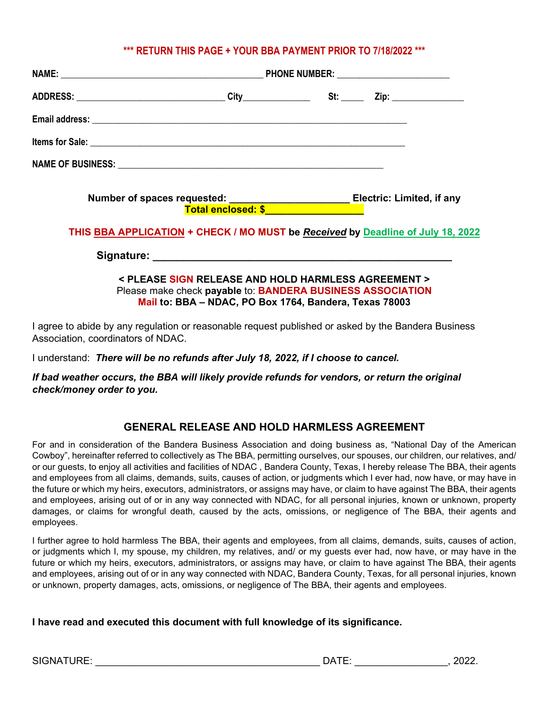### **\*\*\* RETURN THIS PAGE + YOUR BBA PAYMENT PRIOR TO 7/18/2022 \*\*\***

| Number of spaces requested: _________________________Electric: Limited, if any  |  |  |  |
|---------------------------------------------------------------------------------|--|--|--|
| THIS BBA APPLICATION + CHECK / MO MUST be Received by Deadline of July 18, 2022 |  |  |  |
|                                                                                 |  |  |  |

**< PLEASE SIGN RELEASE AND HOLD HARMLESS AGREEMENT >** Please make check **payable** to: **BANDERA BUSINESS ASSOCIATION Mail to: BBA – NDAC, PO Box 1764, Bandera, Texas 78003**

I agree to abide by any regulation or reasonable request published or asked by the Bandera Business Association, coordinators of NDAC.

I understand: *There will be no refunds after July 18, 2022, if I choose to cancel.* 

*If bad weather occurs, the BBA will likely provide refunds for vendors, or return the original check/money order to you.*

#### **GENERAL RELEASE AND HOLD HARMLESS AGREEMENT**

For and in consideration of the Bandera Business Association and doing business as, "National Day of the American Cowboy", hereinafter referred to collectively as The BBA, permitting ourselves, our spouses, our children, our relatives, and/ or our guests, to enjoy all activities and facilities of NDAC , Bandera County, Texas, I hereby release The BBA, their agents and employees from all claims, demands, suits, causes of action, or judgments which I ever had, now have, or may have in the future or which my heirs, executors, administrators, or assigns may have, or claim to have against The BBA, their agents and employees, arising out of or in any way connected with NDAC, for all personal injuries, known or unknown, property damages, or claims for wrongful death, caused by the acts, omissions, or negligence of The BBA, their agents and employees.

I further agree to hold harmless The BBA, their agents and employees, from all claims, demands, suits, causes of action, or judgments which I, my spouse, my children, my relatives, and/ or my guests ever had, now have, or may have in the future or which my heirs, executors, administrators, or assigns may have, or claim to have against The BBA, their agents and employees, arising out of or in any way connected with NDAC, Bandera County, Texas, for all personal injuries, known or unknown, property damages, acts, omissions, or negligence of The BBA, their agents and employees.

#### **I have read and executed this document with full knowledge of its significance.**

| SIGNATURE: |  |
|------------|--|
|------------|--|

| SIGNATURE: |  | - ---<br>JA. | 2022. |
|------------|--|--------------|-------|
|------------|--|--------------|-------|